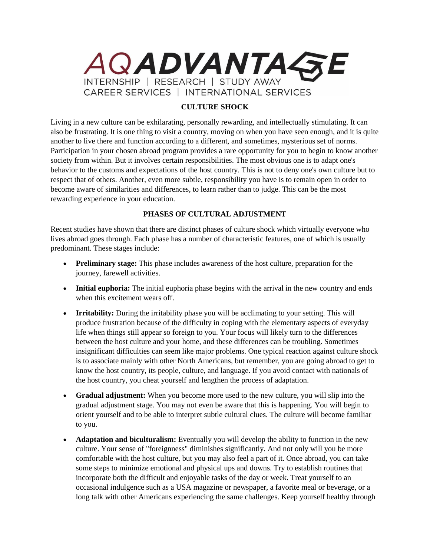

## **CULTURE SHOCK**

Living in a new culture can be exhilarating, personally rewarding, and intellectually stimulating. It can also be frustrating. It is one thing to visit a country, moving on when you have seen enough, and it is quite another to live there and function according to a different, and sometimes, mysterious set of norms. Participation in your chosen abroad program provides a rare opportunity for you to begin to know another society from within. But it involves certain responsibilities. The most obvious one is to adapt one's behavior to the customs and expectations of the host country. This is not to deny one's own culture but to respect that of others. Another, even more subtle, responsibility you have is to remain open in order to become aware of similarities and differences, to learn rather than to judge. This can be the most rewarding experience in your education.

## **PHASES OF CULTURAL ADJUSTMENT**

Recent studies have shown that there are distinct phases of culture shock which virtually everyone who lives abroad goes through. Each phase has a number of characteristic features, one of which is usually predominant. These stages include:

- **Preliminary stage:** This phase includes awareness of the host culture, preparation for the journey, farewell activities.
- Initial euphoria: The initial euphoria phase begins with the arrival in the new country and ends when this excitement wears off.
- **Irritability:** During the irritability phase you will be acclimating to your setting. This will produce frustration because of the difficulty in coping with the elementary aspects of everyday life when things still appear so foreign to you. Your focus will likely turn to the differences between the host culture and your home, and these differences can be troubling. Sometimes insignificant difficulties can seem like major problems. One typical reaction against culture shock is to associate mainly with other North Americans, but remember, you are going abroad to get to know the host country, its people, culture, and language. If you avoid contact with nationals of the host country, you cheat yourself and lengthen the process of adaptation.
- **Gradual adjustment:** When you become more used to the new culture, you will slip into the gradual adjustment stage. You may not even be aware that this is happening. You will begin to orient yourself and to be able to interpret subtle cultural clues. The culture will become familiar to you.
- **Adaptation and biculturalism:** Eventually you will develop the ability to function in the new culture. Your sense of "foreignness" diminishes significantly. And not only will you be more comfortable with the host culture, but you may also feel a part of it. Once abroad, you can take some steps to minimize emotional and physical ups and downs. Try to establish routines that incorporate both the difficult and enjoyable tasks of the day or week. Treat yourself to an occasional indulgence such as a USA magazine or newspaper, a favorite meal or beverage, or a long talk with other Americans experiencing the same challenges. Keep yourself healthy through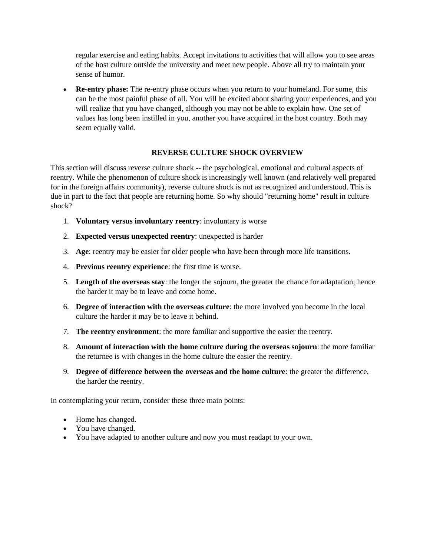regular exercise and eating habits. Accept invitations to activities that will allow you to see areas of the host culture outside the university and meet new people. Above all try to maintain your sense of humor.

 **Re-entry phase:** The re-entry phase occurs when you return to your homeland. For some, this can be the most painful phase of all. You will be excited about sharing your experiences, and you will realize that you have changed, although you may not be able to explain how. One set of values has long been instilled in you, another you have acquired in the host country. Both may seem equally valid.

## **REVERSE CULTURE SHOCK OVERVIEW**

This section will discuss reverse culture shock -- the psychological, emotional and cultural aspects of reentry. While the phenomenon of culture shock is increasingly well known (and relatively well prepared for in the foreign affairs community), reverse culture shock is not as recognized and understood. This is due in part to the fact that people are returning home. So why should "returning home" result in culture shock?

- 1. **Voluntary versus involuntary reentry**: involuntary is worse
- 2. **Expected versus unexpected reentry**: unexpected is harder
- 3. **Age**: reentry may be easier for older people who have been through more life transitions.
- 4. **Previous reentry experience**: the first time is worse.
- 5. **Length of the overseas stay**: the longer the sojourn, the greater the chance for adaptation; hence the harder it may be to leave and come home.
- 6. **Degree of interaction with the overseas culture**: the more involved you become in the local culture the harder it may be to leave it behind.
- 7. **The reentry environment**: the more familiar and supportive the easier the reentry.
- 8. **Amount of interaction with the home culture during the overseas sojourn**: the more familiar the returnee is with changes in the home culture the easier the reentry.
- 9. **Degree of difference between the overseas and the home culture**: the greater the difference, the harder the reentry.

In contemplating your return, consider these three main points:

- Home has changed.
- You have changed.
- You have adapted to another culture and now you must readapt to your own.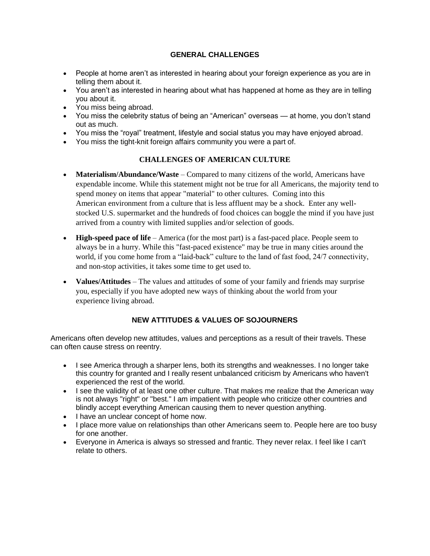#### **GENERAL CHALLENGES**

- People at home aren't as interested in hearing about your foreign experience as you are in telling them about it.
- You aren't as interested in hearing about what has happened at home as they are in telling you about it.
- You miss being abroad.
- You miss the celebrity status of being an "American" overseas at home, you don't stand out as much.
- You miss the "royal" treatment, lifestyle and social status you may have enjoyed abroad.
- You miss the tight-knit foreign affairs community you were a part of.

#### **CHALLENGES OF AMERICAN CULTURE**

- **Materialism/Abundance/Waste** Compared to many citizens of the world, Americans have expendable income. While this statement might not be true for all Americans, the majority tend to spend money on items that appear "material" to other cultures. Coming into this American environment from a culture that is less affluent may be a shock. Enter any wellstocked U.S. supermarket and the hundreds of food choices can boggle the mind if you have just arrived from a country with limited supplies and/or selection of goods.
- **High-speed pace of life** America (for the most part) is a fast-paced place. People seem to always be in a hurry. While this "fast-paced existence" may be true in many cities around the world, if you come home from a "laid-back" culture to the land of fast food, 24/7 connectivity, and non-stop activities, it takes some time to get used to.
- **Values/Attitudes** The values and attitudes of some of your family and friends may surprise you, especially if you have adopted new ways of thinking about the world from your experience living abroad.

# **NEW ATTITUDES & VALUES OF SOJOURNERS**

Americans often develop new attitudes, values and perceptions as a result of their travels. These can often cause stress on reentry.

- I see America through a sharper lens, both its strengths and weaknesses. I no longer take this country for granted and I really resent unbalanced criticism by Americans who haven't experienced the rest of the world.
- I see the validity of at least one other culture. That makes me realize that the American way is not always "right" or "best." I am impatient with people who criticize other countries and blindly accept everything American causing them to never question anything.
- I have an unclear concept of home now.
- I place more value on relationships than other Americans seem to. People here are too busy for one another.
- Everyone in America is always so stressed and frantic. They never relax. I feel like I can't relate to others.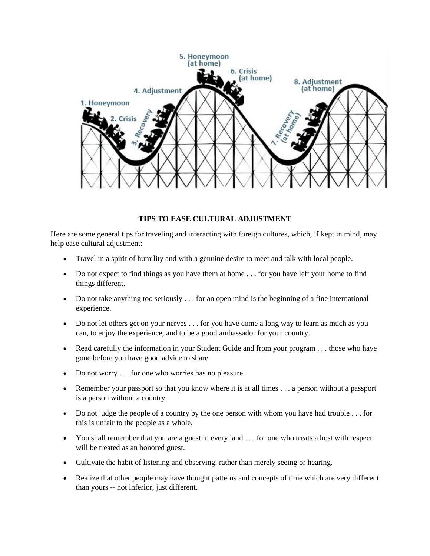

#### **TIPS TO EASE CULTURAL ADJUSTMENT**

Here are some general tips for traveling and interacting with foreign cultures, which, if kept in mind, may help ease cultural adjustment:

- Travel in a spirit of humility and with a genuine desire to meet and talk with local people.
- Do not expect to find things as you have them at home . . . for you have left your home to find things different.
- $\bullet$  Do not take anything too seriously ... for an open mind is the beginning of a fine international experience.
- Do not let others get on your nerves . . . for you have come a long way to learn as much as you can, to enjoy the experience, and to be a good ambassador for your country.
- Read carefully the information in your Student Guide and from your program . . . those who have gone before you have good advice to share.
- Do not worry . . . for one who worries has no pleasure.
- Remember your passport so that you know where it is at all times . . . a person without a passport is a person without a country.
- $\bullet$  Do not judge the people of a country by the one person with whom you have had trouble . . . for this is unfair to the people as a whole.
- You shall remember that you are a guest in every land . . . for one who treats a host with respect will be treated as an honored guest.
- Cultivate the habit of listening and observing, rather than merely seeing or hearing.
- Realize that other people may have thought patterns and concepts of time which are very different than yours -- not inferior, just different.